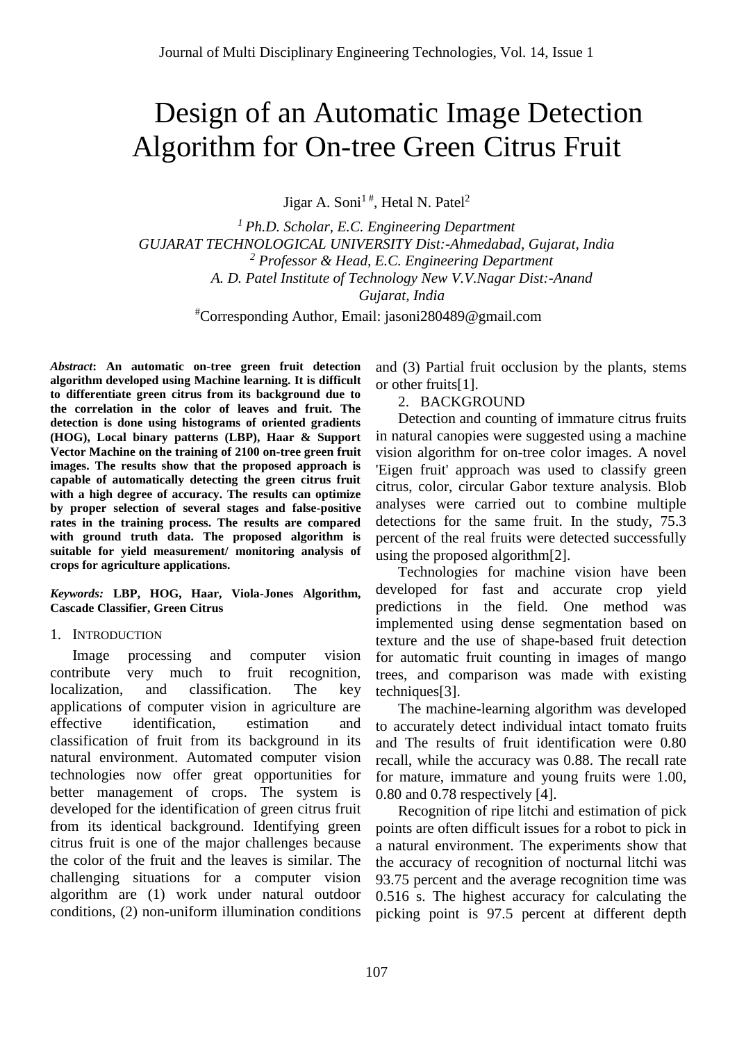# Design of an Automatic Image Detection Algorithm for On-tree Green Citrus Fruit

Jigar A. Soni<sup>1#</sup>, Hetal N. Patel<sup>2</sup>

*<sup>1</sup> Ph.D. Scholar, E.C. Engineering Department GUJARAT TECHNOLOGICAL UNIVERSITY Dist:-Ahmedabad, Gujarat, India <sup>2</sup> Professor & Head, E.C. Engineering Department A. D. Patel Institute of Technology New V.V.Nagar Dist:-Anand Gujarat, India* #Corresponding Author, Email: jasoni280489@gmail.com

*Abstract***: An automatic on-tree green fruit detection algorithm developed using Machine learning. It is difficult to differentiate green citrus from its background due to the correlation in the color of leaves and fruit. The detection is done using histograms of oriented gradients (HOG), Local binary patterns (LBP), Haar & Support Vector Machine on the training of 2100 on-tree green fruit images. The results show that the proposed approach is capable of automatically detecting the green citrus fruit with a high degree of accuracy. The results can optimize by proper selection of several stages and false-positive rates in the training process. The results are compared with ground truth data. The proposed algorithm is suitable for yield measurement/ monitoring analysis of crops for agriculture applications.**

*Keywords:* **LBP, HOG, Haar, Viola-Jones Algorithm, Cascade Classifier, Green Citrus**

#### 1. INTRODUCTION

Image processing and computer vision contribute very much to fruit recognition, localization, and classification. The key applications of computer vision in agriculture are effective identification, estimation and classification of fruit from its background in its natural environment. Automated computer vision technologies now offer great opportunities for better management of crops. The system is developed for the identification of green citrus fruit from its identical background. Identifying green citrus fruit is one of the major challenges because the color of the fruit and the leaves is similar. The challenging situations for a computer vision algorithm are (1) work under natural outdoor conditions, (2) non-uniform illumination conditions

and (3) Partial fruit occlusion by the plants, stems or other fruits[1].

2. BACKGROUND

Detection and counting of immature citrus fruits in natural canopies were suggested using a machine vision algorithm for on-tree color images. A novel 'Eigen fruit' approach was used to classify green citrus, color, circular Gabor texture analysis. Blob analyses were carried out to combine multiple detections for the same fruit. In the study, 75.3 percent of the real fruits were detected successfully using the proposed algorithm[2].

Technologies for machine vision have been developed for fast and accurate crop yield predictions in the field. One method was implemented using dense segmentation based on texture and the use of shape-based fruit detection for automatic fruit counting in images of mango trees, and comparison was made with existing techniques[3].

The machine-learning algorithm was developed to accurately detect individual intact tomato fruits and The results of fruit identification were 0.80 recall, while the accuracy was 0.88. The recall rate for mature, immature and young fruits were 1.00, 0.80 and 0.78 respectively [4].

Recognition of ripe litchi and estimation of pick points are often difficult issues for a robot to pick in a natural environment. The experiments show that the accuracy of recognition of nocturnal litchi was 93.75 percent and the average recognition time was 0.516 s. The highest accuracy for calculating the picking point is 97.5 percent at different depth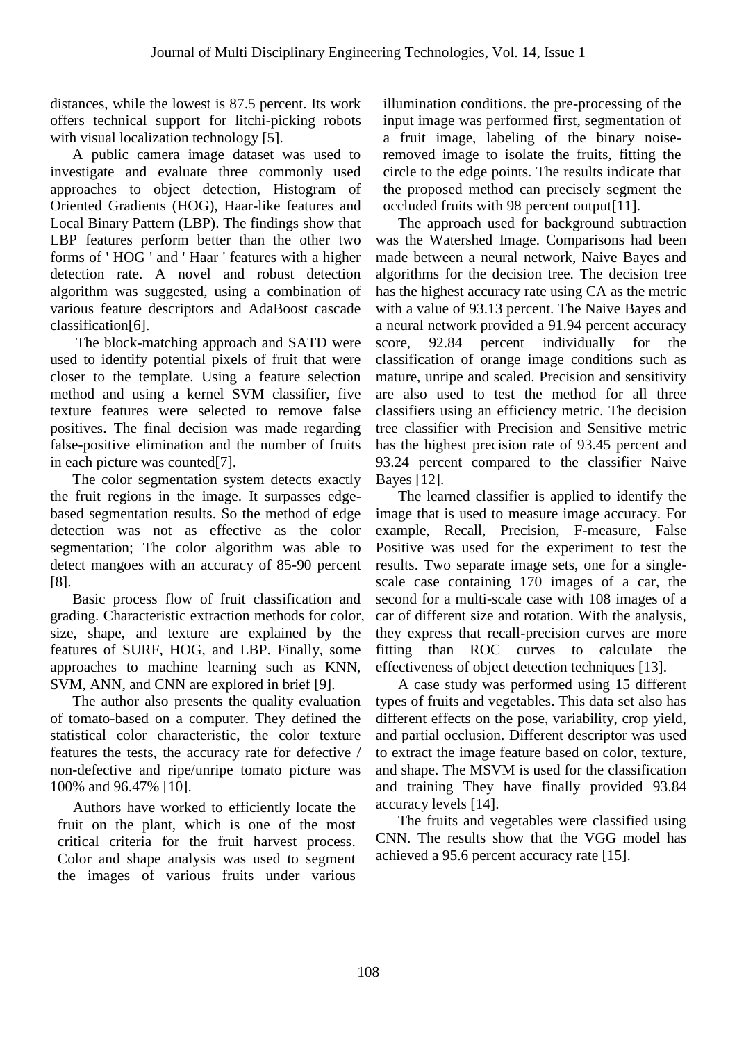distances, while the lowest is 87.5 percent. Its work offers technical support for litchi-picking robots with visual localization technology [5].

A public camera image dataset was used to investigate and evaluate three commonly used approaches to object detection, Histogram of Oriented Gradients (HOG), Haar-like features and Local Binary Pattern (LBP). The findings show that LBP features perform better than the other two forms of ' HOG ' and ' Haar ' features with a higher detection rate. A novel and robust detection algorithm was suggested, using a combination of various feature descriptors and AdaBoost cascade classification[6].

The block-matching approach and SATD were used to identify potential pixels of fruit that were closer to the template. Using a feature selection method and using a kernel SVM classifier, five texture features were selected to remove false positives. The final decision was made regarding false-positive elimination and the number of fruits in each picture was counted[7].

The color segmentation system detects exactly the fruit regions in the image. It surpasses edgebased segmentation results. So the method of edge detection was not as effective as the color segmentation; The color algorithm was able to detect mangoes with an accuracy of 85-90 percent [8].

Basic process flow of fruit classification and grading. Characteristic extraction methods for color, size, shape, and texture are explained by the features of SURF, HOG, and LBP. Finally, some approaches to machine learning such as KNN, SVM, ANN, and CNN are explored in brief [9].

The author also presents the quality evaluation of tomato-based on a computer. They defined the statistical color characteristic, the color texture features the tests, the accuracy rate for defective / non-defective and ripe/unripe tomato picture was 100% and 96.47% [10].

Authors have worked to efficiently locate the fruit on the plant, which is one of the most critical criteria for the fruit harvest process. Color and shape analysis was used to segment the images of various fruits under various

illumination conditions. the pre-processing of the input image was performed first, segmentation of a fruit image, labeling of the binary noiseremoved image to isolate the fruits, fitting the circle to the edge points. The results indicate that the proposed method can precisely segment the occluded fruits with 98 percent output[11].

The approach used for background subtraction was the Watershed Image. Comparisons had been made between a neural network, Naive Bayes and algorithms for the decision tree. The decision tree has the highest accuracy rate using CA as the metric with a value of 93.13 percent. The Naive Bayes and a neural network provided a 91.94 percent accuracy score, 92.84 percent individually for the classification of orange image conditions such as mature, unripe and scaled. Precision and sensitivity are also used to test the method for all three classifiers using an efficiency metric. The decision tree classifier with Precision and Sensitive metric has the highest precision rate of 93.45 percent and 93.24 percent compared to the classifier Naive Bayes [12].

The learned classifier is applied to identify the image that is used to measure image accuracy. For example, Recall, Precision, F-measure, False Positive was used for the experiment to test the results. Two separate image sets, one for a singlescale case containing 170 images of a car, the second for a multi-scale case with 108 images of a car of different size and rotation. With the analysis, they express that recall-precision curves are more fitting than ROC curves to calculate the effectiveness of object detection techniques [13].

A case study was performed using 15 different types of fruits and vegetables. This data set also has different effects on the pose, variability, crop yield, and partial occlusion. Different descriptor was used to extract the image feature based on color, texture, and shape. The MSVM is used for the classification and training They have finally provided 93.84 accuracy levels [14].

The fruits and vegetables were classified using CNN. The results show that the VGG model has achieved a 95.6 percent accuracy rate [15].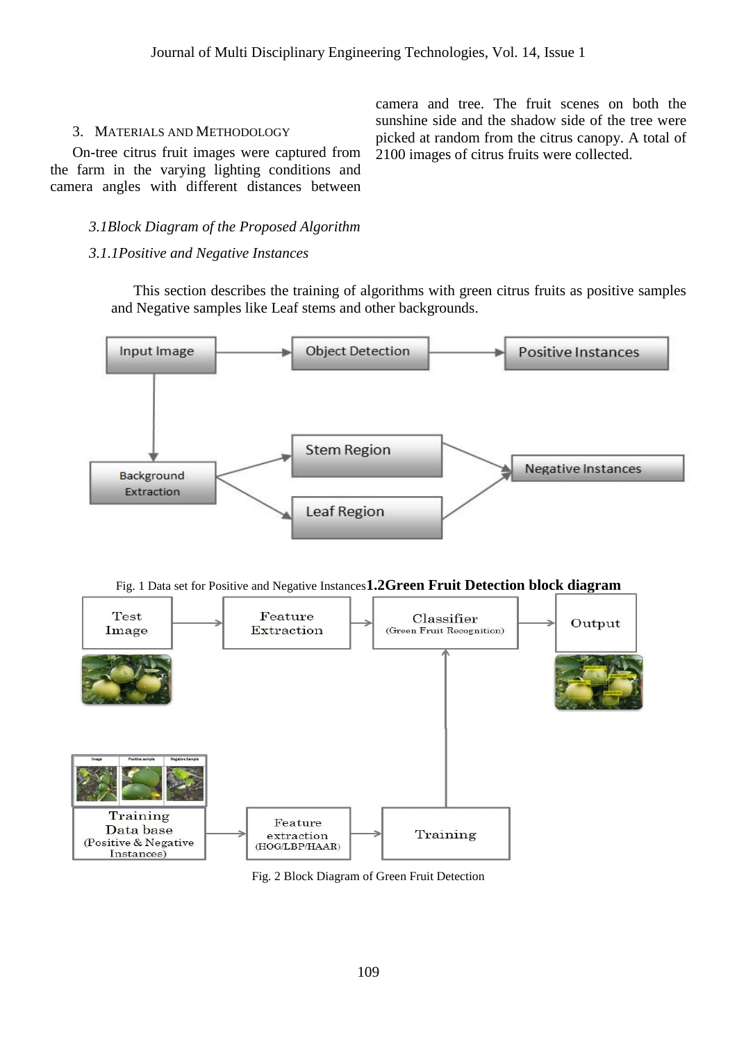## 3. MATERIALS AND METHODOLOGY

On-tree citrus fruit images were captured from the farm in the varying lighting conditions and camera angles with different distances between

#### *3.1Block Diagram of the Proposed Algorithm*

#### *3.1.1Positive and Negative Instances*

This section describes the training of algorithms with green citrus fruits as positive samples and Negative samples like Leaf stems and other backgrounds.



Fig. 1 Data set for Positive and Negative Instances**1.2Green Fruit Detection block diagram**



Fig. 2 Block Diagram of Green Fruit Detection

camera and tree. The fruit scenes on both the sunshine side and the shadow side of the tree were picked at random from the citrus canopy. A total of 2100 images of citrus fruits were collected.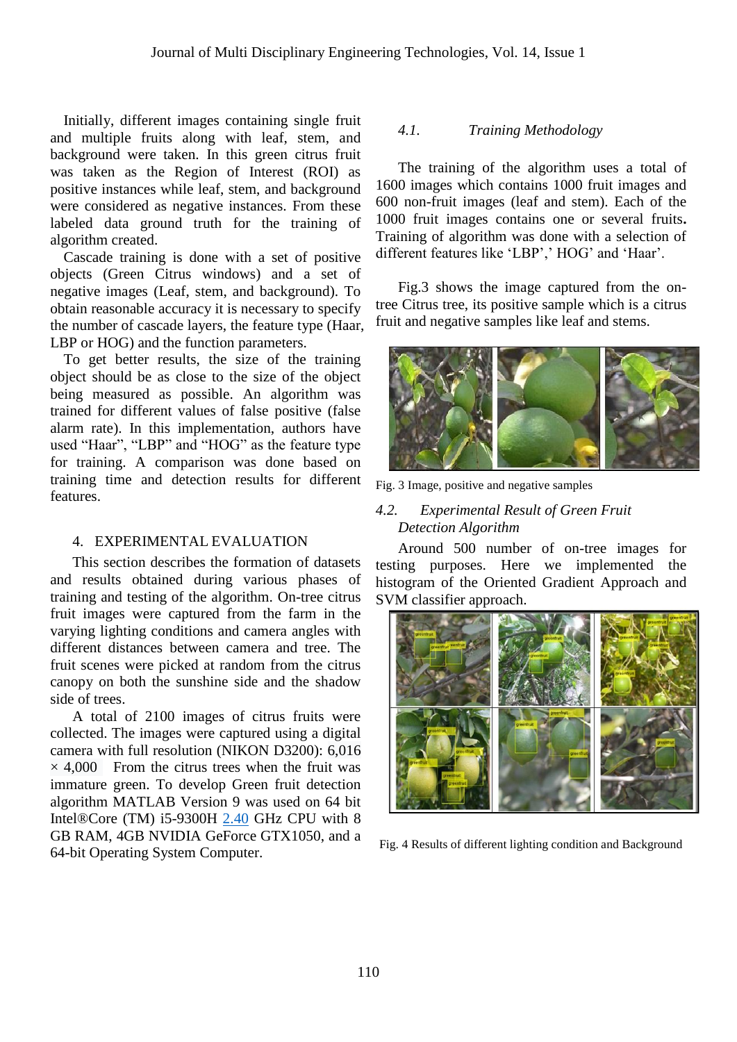Initially, different images containing single fruit and multiple fruits along with leaf, stem, and background were taken. In this green citrus fruit was taken as the Region of Interest (ROI) as positive instances while leaf, stem, and background were considered as negative instances. From these labeled data ground truth for the training of algorithm created.

Cascade training is done with a set of positive objects (Green Citrus windows) and a set of negative images (Leaf, stem, and background). To obtain reasonable accuracy it is necessary to specify the number of cascade layers, the feature type (Haar, LBP or HOG) and the function parameters.

To get better results, the size of the training object should be as close to the size of the object being measured as possible. An algorithm was trained for different values of false positive (false alarm rate). In this implementation, authors have used "Haar", "LBP" and "HOG" as the feature type for training. A comparison was done based on training time and detection results for different features.

## 4. EXPERIMENTAL EVALUATION

This section describes the formation of datasets and results obtained during various phases of training and testing of the algorithm. On-tree citrus fruit images were captured from the farm in the varying lighting conditions and camera angles with different distances between camera and tree. The fruit scenes were picked at random from the citrus canopy on both the sunshine side and the shadow side of trees.

A total of 2100 images of citrus fruits were collected. The images were captured using a digital camera with full resolution (NIKON D3200): 6,016  $\times$  4,000 From the citrus trees when the fruit was immature green. To develop Green fruit detection algorithm MATLAB Version 9 was used on 64 bit Intel®Core (TM) i5-9300H [2.40](mailto:CPU@1.80) GHz CPU with 8 GB RAM, 4GB NVIDIA GeForce GTX1050, and a 64-bit Operating System Computer.

## *4.1. Training Methodology*

The training of the algorithm uses a total of 1600 images which contains 1000 fruit images and 600 non-fruit images (leaf and stem). Each of the 1000 fruit images contains one or several fruits**.** Training of algorithm was done with a selection of different features like 'LBP',' HOG' and 'Haar'.

Fig.3 shows the image captured from the ontree Citrus tree, its positive sample which is a citrus fruit and negative samples like leaf and stems.



Fig. 3 Image, positive and negative samples

# *4.2. Experimental Result of Green Fruit Detection Algorithm*

Around 500 number of on-tree images for testing purposes. Here we implemented the histogram of the Oriented Gradient Approach and SVM classifier approach.



Fig. 4 Results of different lighting condition and Background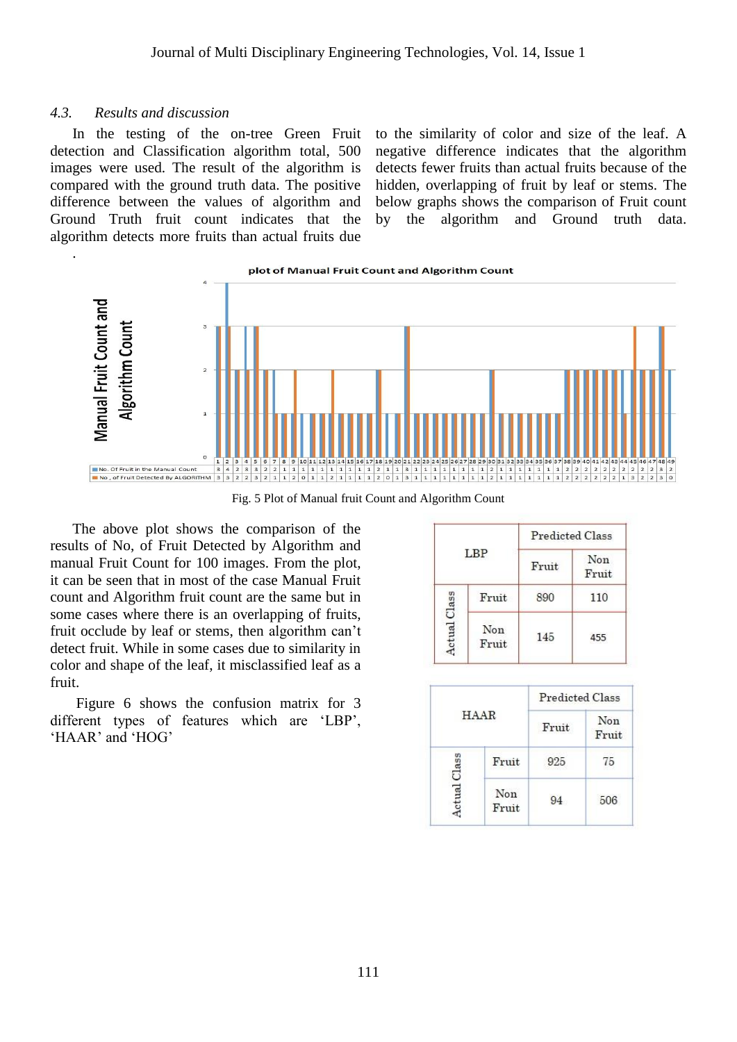#### *4.3. Results and discussion*

.

In the testing of the on-tree Green Fruit detection and Classification algorithm total, 500 images were used. The result of the algorithm is compared with the ground truth data. The positive difference between the values of algorithm and Ground Truth fruit count indicates that the algorithm detects more fruits than actual fruits due

to the similarity of color and size of the leaf. A negative difference indicates that the algorithm detects fewer fruits than actual fruits because of the hidden, overlapping of fruit by leaf or stems. The below graphs shows the comparison of Fruit count by the algorithm and Ground truth data.





The above plot shows the comparison of the results of No, of Fruit Detected by Algorithm and manual Fruit Count for 100 images. From the plot, it can be seen that in most of the case Manual Fruit count and Algorithm fruit count are the same but in some cases where there is an overlapping of fruits, fruit occlude by leaf or stems, then algorithm can't detect fruit. While in some cases due to similarity in color and shape of the leaf, it misclassified leaf as a fruit.

Figure 6 shows the confusion matrix for 3 different types of features which are 'LBP', 'HAAR' and 'HOG'

|        |              | <b>Predicted Class</b> |              |
|--------|--------------|------------------------|--------------|
|        | LBP          | Fruit                  | Non<br>Fruit |
| Class  | Fruit        | 890                    | 110          |
| Actual | Non<br>Fruit | 145                    | 455          |

|        |              | <b>Predicted Class</b> |              |
|--------|--------------|------------------------|--------------|
|        | <b>HAAR</b>  | Fruit                  | Non<br>Fruit |
| Class  | Fruit        | 925                    | 75           |
| Actual | Non<br>Fruit | 94                     | 506          |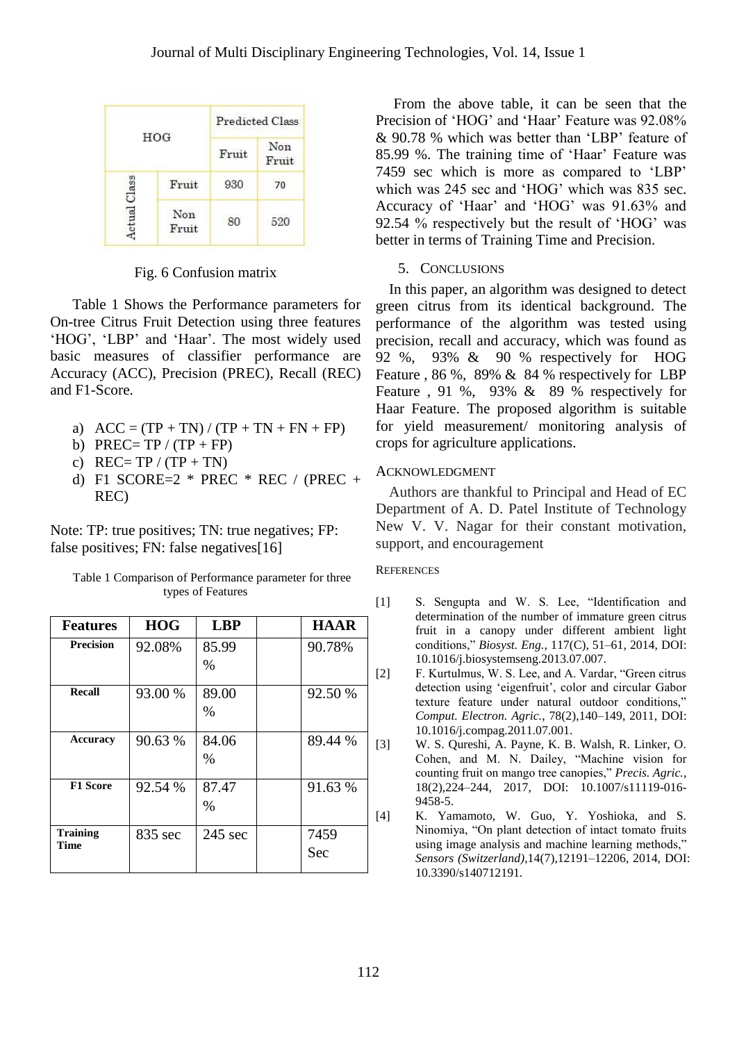|       |              | <b>Predicted Class</b> |              |  |
|-------|--------------|------------------------|--------------|--|
|       | HOG          | Fruit                  | Non<br>Fruit |  |
| Class | Fruit        | 930                    | 70           |  |
| ctuna | Non<br>Fruit | 80                     | 520          |  |

Fig. 6 Confusion matrix

Table 1 Shows the Performance parameters for On-tree Citrus Fruit Detection using three features 'HOG', 'LBP' and 'Haar'. The most widely used basic measures of classifier performance are Accuracy (ACC), Precision (PREC), Recall (REC) and F1-Score.

- a)  $ACC = (TP + TN) / (TP + TN + FN + FP)$
- b) PREC= TP  $/(TP + FP)$
- c)  $REC= TP / (TP + TN)$
- d) F1 SCORE= $2 * PREC * REC / (PREC +$ REC)

Note: TP: true positives; TN: true negatives; FP: false positives; FN: false negatives[16]

| <b>Features</b>         | <b>HOG</b> | <b>LBP</b>    | <b>HAAR</b> |  |
|-------------------------|------------|---------------|-------------|--|
| <b>Precision</b>        | 92.08%     | 85.99         | 90.78%      |  |
|                         |            | $\%$          |             |  |
| <b>Recall</b>           | 93.00 %    | 89.00<br>$\%$ | 92.50 %     |  |
| Accuracy                | 90.63 %    | 84.06<br>$\%$ | 89.44 %     |  |
| <b>F1 Score</b>         | 92.54 %    | 87.47<br>$\%$ | 91.63 %     |  |
| <b>Training</b><br>Time | 835 sec    | 245 sec       | 7459<br>Sec |  |

| Table 1 Comparison of Performance parameter for three |  |
|-------------------------------------------------------|--|
| types of Features                                     |  |

From the above table, it can be seen that the Precision of 'HOG' and 'Haar' Feature was 92.08% & 90.78 % which was better than 'LBP' feature of 85.99 %. The training time of 'Haar' Feature was 7459 sec which is more as compared to 'LBP' which was 245 sec and 'HOG' which was 835 sec. Accuracy of 'Haar' and 'HOG' was 91.63% and 92.54 % respectively but the result of 'HOG' was better in terms of Training Time and Precision.

## 5. CONCLUSIONS

In this paper, an algorithm was designed to detect green citrus from its identical background. The performance of the algorithm was tested using precision, recall and accuracy, which was found as 92 %, 93% & 90 % respectively for HOG Feature , 86 %, 89% & 84 % respectively for LBP Feature , 91 %, 93% & 89 % respectively for Haar Feature. The proposed algorithm is suitable for yield measurement/ monitoring analysis of crops for agriculture applications.

#### ACKNOWLEDGMENT

Authors are thankful to Principal and Head of EC Department of A. D. Patel Institute of Technology New V. V. Nagar for their constant motivation, support, and encouragement

#### **REFERENCES**

- [1] S. Sengupta and W. S. Lee, "Identification and determination of the number of immature green citrus fruit in a canopy under different ambient light conditions," *Biosyst. Eng.*, 117(C), 51–61, 2014, DOI: 10.1016/j.biosystemseng.2013.07.007.
- [2] F. Kurtulmus, W. S. Lee, and A. Vardar, "Green citrus detection using 'eigenfruit', color and circular Gabor texture feature under natural outdoor conditions," *Comput. Electron. Agric.*, 78(2),140–149, 2011, DOI: 10.1016/j.compag.2011.07.001.
- [3] W. S. Qureshi, A. Payne, K. B. Walsh, R. Linker, O. Cohen, and M. N. Dailey, "Machine vision for counting fruit on mango tree canopies," *Precis. Agric.*, 18(2),224–244, 2017, DOI: 10.1007/s11119-016- 9458-5.
- [4] K. Yamamoto, W. Guo, Y. Yoshioka, and S. Ninomiya, "On plant detection of intact tomato fruits using image analysis and machine learning methods," *Sensors (Switzerland)*,14(7),12191–12206, 2014, DOI: 10.3390/s140712191.